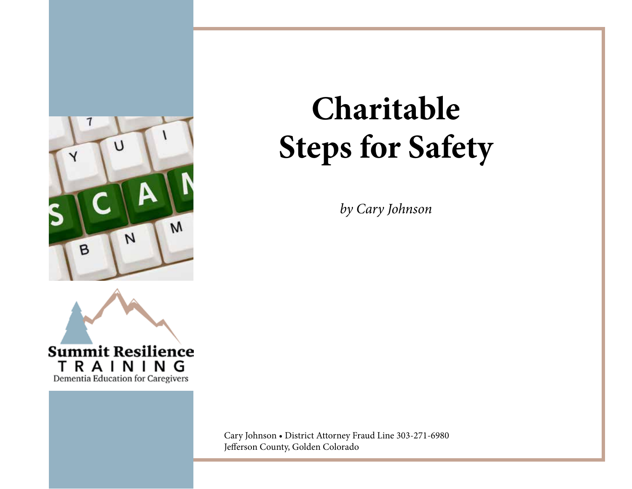



## **Charitable Steps for Safety**

*by Cary Johnson*

Cary Johnson • District Attorney Fraud Line 303-271-6980 Jefferson County, Golden Colorado